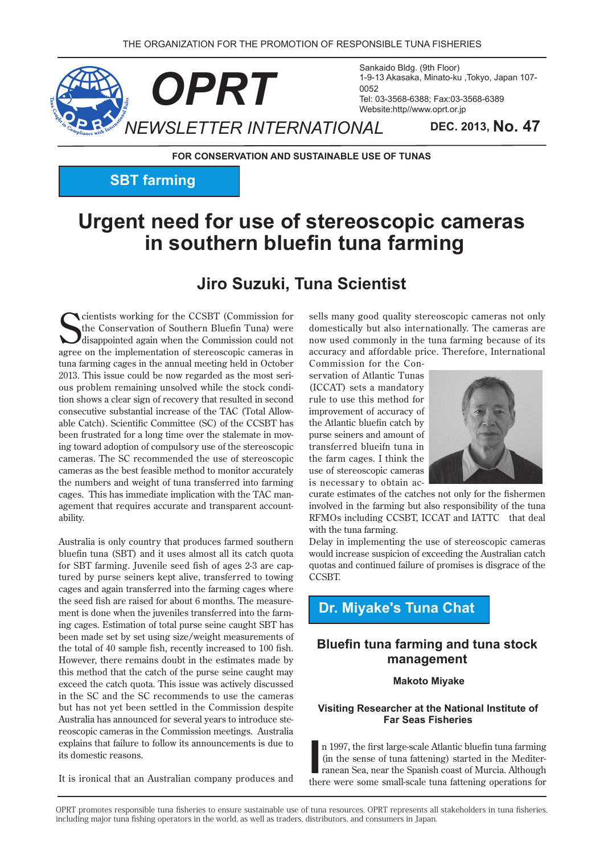

Sankaido Bldg. (9th Floor) 1-9-13 Akasaka, Minato-ku, Tokyo, Japan 107-0052 Tel: 03-3568-6388; Fax: 03-3568-6389 Website:http//www.oprt.or.jp

**FOR CONSERVATION AND SUSTAINABLE USE OF TUNAS** 

## **SBT** farming

# **Urgent need for use of stereoscopic cameras in southern bluefin tuna farming**

## **Jiro Suzuki, Tuna Scientist**

Cientists working for the CCSBT (Commission for the Conservation of Southern Bluefin Tuna) were disappointed again when the Commission could not agree on the implementation of stereoscopic cameras in **N** cientists working for the CCSBT (Commission for the Conservation of Southern Bluefin Tuna) were  $\overline{J}$  disappointed again when the Commission could not tuna farming cages in the annual meeting held in October tion shows a clear sign of recovery that resulted in second ous problem remaining unsolved while the stock condi-2013. This issue could be now regarded as the most seriable Catch). Scientific Committee (SC) of the CCSBT has consecutive substantial increase of the TAC (Total Allowing toward adoption of compulsory use of the stereoscopic been frustrated for a long time over the stalemate in movcameras. The SC recommended the use of stereoscopic cameras as the best feasible method to monitor accurately the numbers and weight of tuna transferred into farming agement that requires accurate and transparent account-<br>ability. cages. This has immediate implication with the TAC management that requires accurate and transparent accountcages. This has immediate implication with the TAC man-

Australia is only country that produces farmed southern bluefin tuna (SBT) and it uses almost all its catch quota tured by purse seiners kept alive, transferred to towing for SBT farming. Juvenile seed fish of ages 2-3 are capcages and again transferred into the farming cages where ing cages. Estimation of total purse seine caught SBT has ment is done when the juveniles transferred into the farmthe seed fish are raised for about 6 months. The measurebeen made set by set using size/weight measurements of the total of 40 sample fish, recently increased to 100 fish. However, there remains doubt in the estimates made by this method that the catch of the purse seine caught may exceed the catch quota. This issue was actively discussed in the SC and the SC recommends to use the cameras but has not yet been settled in the Commission despite reoscopic cameras in the Commission meetings. Australia Australia has announced for several years to introduce steexplains that failure to follow its announcements is due to its domestic reasons.

It is ironical that an Australian company produces and

sells many good quality stereoscopic cameras not only domestically but also internationally. The cameras are now used commonly in the tuna farming because of its accuracy and affordable price. Therefore, International

servation of Atlantic Tunas Commission for the Con- $(ICCAT)$  sets a mandatory rule to use this method for improvement of accuracy of the Atlantic bluefin catch by purse seiners and amount of transferred blueifn tuna in the farm cages. I think the use of stereoscopic cameras is necessary to obtain ac-



curate estimates of the catches not only for the fishermen involved in the farming but also responsibility of the tuna RFMOs including CCSBT, ICCAT and IATTC that deal with the tuna farming.

Delay in implementing the use of stereoscopic cameras would increase suspicion of exceeding the Australian catch quotas and continued failure of promises is disgrace of the .CCSBT

## **Dr. Miyake's Tuna Chat**

### **Bluefin tuna farming and tuna stock management**

### **Makoto Miyake**

### **Visiting Researcher at the National Institute of Far Seas Fisheries**

In 1997, the first large-scale Atlantic bluefin tuna farming (in the sense of tuna fattening) started in the Mediterranean Sea, near the Spanish coast of Murcia. Although there were some small-scale tuna fattening operatio n 1997, the first large-scale Atlantic bluefin tuna farming ranean Sea, near the Spanish coast of Murcia. Although (in the sense of tuna fattening) started in the Mediter-

OPRT promotes responsible tuna fisheries to ensure sustainable use of tuna resources. OPRT represents all stakeholders in tuna fisheries, including major tuna fishing operators in the world, as well as traders, distributors, and consumers in Japan.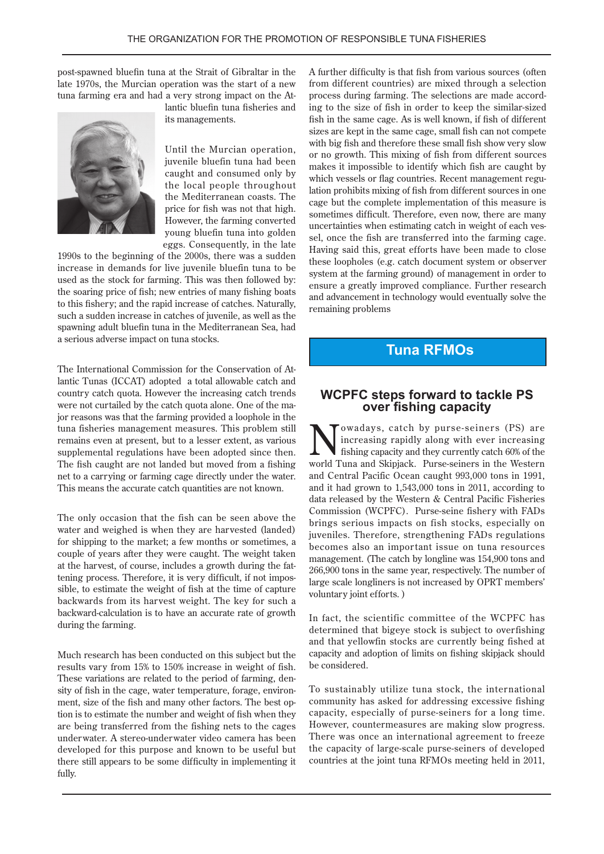post-spawned bluefin tuna at the Strait of Gibraltar in the late 1970s, the Murcian operation was the start of a new tuna farming era and had a very strong impact on the At-



lantic bluefin tuna fisheries and its managements.

Until the Murcian operation, juvenile bluefin tuna had been caught and consumed only by the local people throughout the Mediterranean coasts. The price for fish was not that high. However, the farming converted young bluefin tuna into golden eggs. Consequently, in the late

1990s to the beginning of the 2000s, there was a sudden increase in demands for live juvenile bluefin tuna to be used as the stock for farming. This was then followed by: the soaring price of fish; new entries of many fishing boats to this fishery; and the rapid increase of catches. Naturally, such a sudden increase in catches of juvenile, as well as the spawning adult bluefin tuna in the Mediterranean Sea, had a serious adverse impact on tuna stocks.

lantic Tunas (ICCAT) adopted a total allowable catch and The International Commission for the Conservation of Atcountry catch quota. However the increasing catch trends jor reasons was that the farming provided a loophole in the were not curtailed by the catch quota alone. One of the matuna fisheries management measures. This problem still remains even at present, but to a lesser extent, as various supplemental regulations have been adopted since then. The fish caught are not landed but moved from a fishing net to a carrying or farming cage directly under the water. This means the accurate catch quantities are not known.

The only occasion that the fish can be seen above the water and weighed is when they are harvested (landed) for shipping to the market; a few months or sometimes, a couple of years after they were caught. The weight taken tening process. Therefore, it is very difficult, if not impossible, to estimate the weight of fish at the time of capture at the harvest, of course, includes a growth during the fat-<br>tening-process. Therefore, it is very difficult, if not imposat the harvest, of course, includes a growth during the fatbackwards from its harvest weight. The key for such a backward-calculation is to have an accurate rate of growth during the farming.

Much research has been conducted on this subject but the results vary from 15% to 150% increase in weight of fish. tion is to estimate the number and weight of fish when they sity of fish in the cage, water temperature, forage, environment, size of the fish and many other factors. The best op-These variations are related to the period of farming, density of fish in the cage, water temperature, forage, environare being transferred from the fishing nets to the cages underwater. A stereo-underwater video camera has been developed for this purpose and known to be useful but there still appears to be some difficulty in implementing it fully.

A further difficulty is that fish from various sources (often from different countries) are mixed through a selection ing to the size of fish in order to keep the similar-sized process during farming. The selections are made accordfish in the same cage. As is well known, if fish of different sizes are kept in the same cage, small fish can not compete with big fish and therefore these small fish show very slow or no growth. This mixing of fish from different sources makes it impossible to identify which fish are caught by lation prohibits mixing of fish from different sources in one which vessels or flag countries. Recent management regucage but the complete implementation of this measure is sometimes difficult. Therefore, even now, there are many sel, once the fish are transferred into the farming cage. uncertainties when estimating catch in weight of each ves-Having said this, great efforts have been made to close these loopholes (e.g. catch document system or observer system at the farming ground) of management in order to ensure a greatly improved compliance. Further research and advancement in technology would eventually solve the remaining problems

### **Tuna RFMOs**

# **CAPPC steps forward to tackle PS**<br>over fishing capacity

Towadays, catch by purse-seiners (PS) are increasing rapidly along with ever increasing fishing capacity and they currently catch 60% of the world Tuna and Skipjack. Purse-seiners in the Western and Central Pacific Ocean caught 993,000 tons in 1991, and it had grown to  $1,543,000$  tons in 2011, according to data released by the Western & Central Pacific Fisheries Commission (WCPFC). Purse-seine fishery with FADs brings serious impacts on fish stocks, especially on juveniles. Therefore, strengthening FADs regulations becomes also an important issue on tuna resources management. (The catch by longline was 154,900 tons and 266,900 tons in the same year, respectively. The number of large scale longliners is not increased by OPRT members' voluntary joint efforts.)

In fact, the scientific committee of the WCPFC has determined that bigeye stock is subject to overfishing and that yellowfin stocks are currently being fished at capacity and adoption of limits on fishing skipjack should be considered.

To sustainably utilize tuna stock, the international community has asked for addressing excessive fishing . capacity, especially of purse-seiners for a long time. However, countermeasures are making slow progress. There was once an international agreement to freeze the capacity of large-scale purse-seiners of developed countries at the joint tuna RFMOs meeting held in 2011,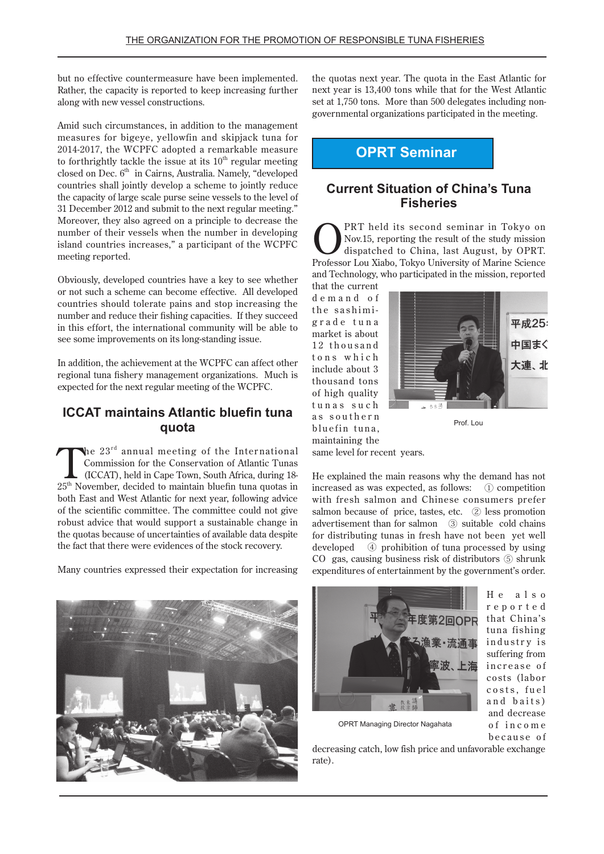but no effective countermeasure have been implemented. Rather, the capacity is reported to keep increasing further along with new vessel constructions.

Amid such circumstances, in addition to the management measures for bigeye, yellowfin and skipjack tuna for 2014-2017, the WCPFC adopted a remarkable measure to forthrightly tackle the issue at its  $10<sup>th</sup>$  regular meeting closed on Dec.  $6<sup>th</sup>$  in Cairns. Australia. Namely, "developed countries shall jointly develop a scheme to jointly reduce the capacity of large scale purse seine vessels to the level of 31 December 2012 and submit to the next regular meeting." Moreover, they also agreed on a principle to decrease the number of their vessels when the number in developing island countries increases," a participant of the WCPFC meeting reported.

Obviously, developed countries have a key to see whether or not such a scheme can become effective. All developed countries should tolerate pains and stop increasing the number and reduce their fishing capacities. If they succeed in this effort, the international community will be able to see some improvements on its long-standing issue.

In addition, the achievement at the WCPFC can affect other regional tuna fishery management organizations. Much is expected for the next regular meeting of the WCPFC.

### **ICCAT** maintains Atlantic bluefin tuna  **quota**

 $\lambda$ he 23<sup>rd</sup> annual meeting of the International Commission for the Conservation of Atlantic Tunas (ICCAT), held in Cape Town, South Africa, during 18- $25<sup>th</sup>$  November, decided to maintain bluefin tuna quotas in both East and West Atlantic for next year, following advice of the scientific committee. The committee could not give robust advice that would support a sustainable change in the quotas because of uncertainties of available data despite the fact that there were evidences of the stock recovery.

Many countries expressed their expectation for increasing

the quotas next year. The quota in the East Atlantic for next year is 13,400 tons while that for the West Atlantic governmental organizations participated in the meeting. set at 1,750 tons. More than 500 delegates including non-

## **OPRT** Seminar

### **Current Situation of China's Tuna Fisheries**

**ON** PRT held its second seminar in Tokyo on<br>dispatched to China, last August, by OPRT.<br>Professor Lau Viebe Tolyo University of Marine Science Nov.15, reporting the result of the study mission Professor Lou Xiabo, Tokyo University of Marine Science and Technology, who participated in the mission, reported

that the current demand of grade tuna the sashimimarket is about 12 thousand tons which include about 3 thousand tons of high quality tunas such as southern bluefin tuna, maintaining the same level for recent years.



Prof Lou

He explained the main reasons why the demand has not increased as was expected, as follows:  $\bigcirc$  competition with fresh salmon and Chinese consumers prefer salmon because of price, tastes, etc.  $(2)$  less promotion advertisement than for salmon  $\circ$  suitable cold chains for distributing tunas in fresh have not been yet well developed  $\circ$  prohibition of tuna processed by using CO gas, causing business risk of distributors 5 shrunk expenditures of entertainment by the government's order.





 $H e$  a  $l s o$ r e p o r t e d that China's tuna fishing industry is suffering from increase of costs (labor costs, fuel and baits) and decrease of income because of

OPRT Managing Director Nagahata

decreasing catch, low fish price and unfavorable exchange rate).